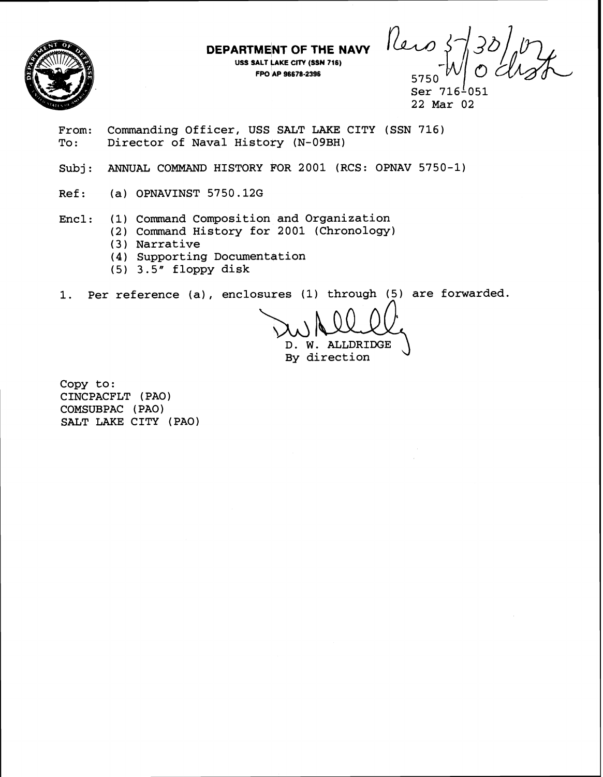

**DEPARTMENT OF THE NAVY** 

**USS SALT LAKE CrrY (SSN 716) FW AP 96678-2396** 5750

Reis

Ser 716<sup>1</sup>051 22 Mar 02

From: Commanding Officer, USS SALT LAKE CITY (SSN 716)<br>To: Director of Naval History (N-09BH) Director of Naval History (N-09BH)

- Subj: ANNUAL COMMAND HISTORY FOR 2001 (RCS: OPNAV 5750-1)
- Ref: (a) OPNAVINST 5750.126

Encl: (1) Command Composition and Organization

- (2) Command History for 2001 (Chronology)
- (3) Narrative
- **(4)** Supporting Document&tion
- (5) 3.5" floppy disk

1. Per reference (a), enclosures (1) through (5) are forwarded. **A** 

D. W. ALLDRIDGE  $\bigcup$ 

Copy to: CINCPACFLT (PAO) COMSUBPAC ( PA0 ) SALT LAKE CITY (PAO)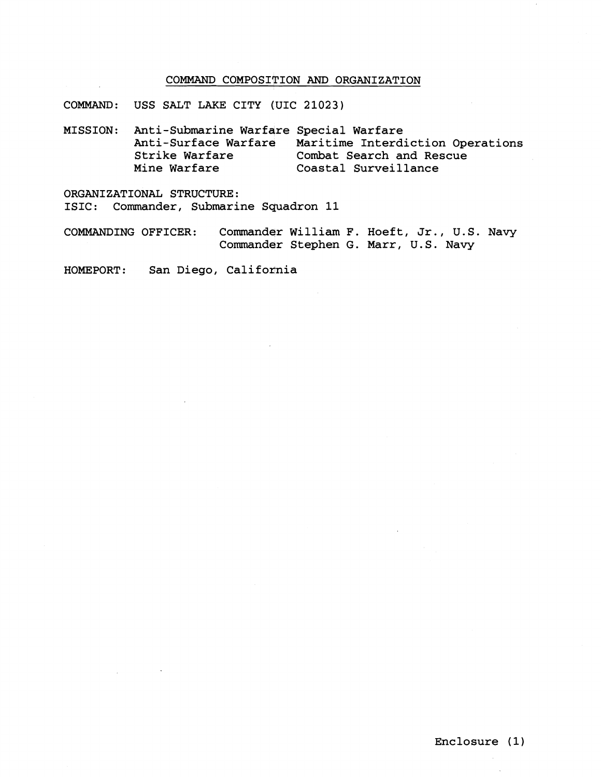## COMMAND COMPOSITION AND ORGANIZATION

COMMAND: USS SALT LAKE CITY (UIC **21023)** 

MISSION: Anti-Submarine Warfare Special Warfare Anti-Surface Warfare Maritime Interdiction Operations<br>Strike Warfare Combat Search and Rescue Strike Warfare Combat Search and Rescue<br>Mine Warfare Coastal Surveillance Coastal Surveillance

ORGANIZATIONAL STRUCTURE: ISIC: Commander, Submarine Squadron 11

COMMANDING OFFICER: Commander William F. Hoeft, Jr., U.S. Navy Commander Stephen G. Marr, U.S. Navy

HOMEPORT: San Diego, California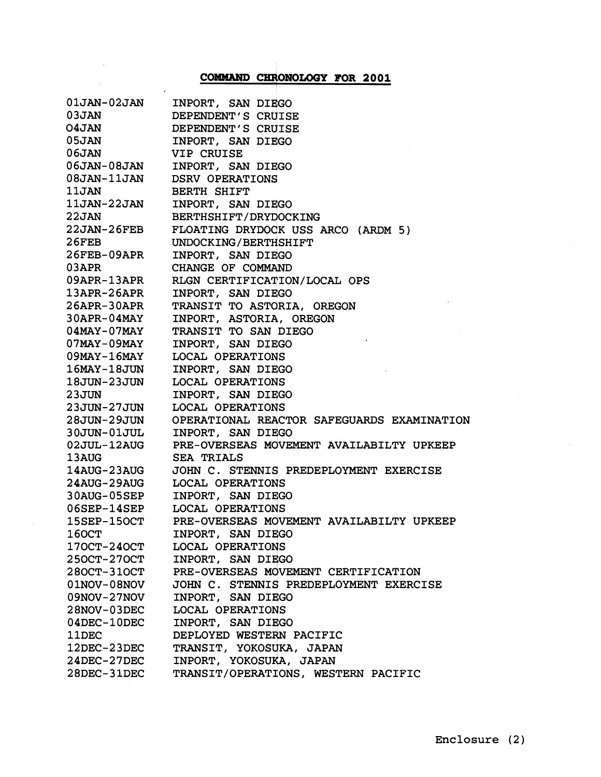## **COMMAND CHRONOLOGY FOR 2001**

| $01$ JAN- $02$ JAN | INPORT, SAN DIEGO                          |
|--------------------|--------------------------------------------|
| 03JAN              | DEPENDENT'S CRUISE                         |
| <b>O4JAN</b>       | DEPENDENT'S CRUISE                         |
| 05JAN              | INPORT, SAN DIEGO                          |
| 06JAN              | <b>VIP CRUISE</b>                          |
| 06JAN-08JAN        | INPORT, SAN DIEGO                          |
| 08JAN-11JAN        | <b>DSRV OPERATIONS</b>                     |
| 11JAN              | <b>BERTH SHIFT</b>                         |
| 11JAN-22JAN        | INPORT, SAN DIEGO                          |
| 22JAN              | BERTHSHIFT/DRYDOCKING                      |
| 22JAN-26FEB        | FLOATING DRYDOCK USS ARCO (ARDM 5)         |
| 26FEB              | UNDOCKING/BERTHSHIFT                       |
| 26FEB-09APR        | INPORT, SAN DIEGO                          |
| 03APR              | CHANGE OF COMMAND                          |
| 09APR-13APR        | RLGN CERTIFICATION/LOCAL OPS               |
| $13APR-26APR$      | INPORT, SAN DIEGO                          |
| $26$ APR-30APR     | TRANSIT TO ASTORIA, OREGON                 |
| $30$ APR- $0$ 4MAY | INPORT, ASTORIA, OREGON                    |
| $04$ MAY-07MAY     | TRANSIT TO SAN DIEGO                       |
| $07$ MAY-09MAY     | INPORT, SAN DIEGO                          |
| $09$ MAY-16MAY     | LOCAL OPERATIONS                           |
| $16$ MAY- $18$ JUN | INPORT, SAN DIEGO                          |
| 18JUN-23JUN        | <b>LOCAL OPERATIONS</b>                    |
| 23JUN              | INPORT, SAN DIEGO                          |
| 23JUN-27JUN        | LOCAL OPERATIONS                           |
| 28JUN-29JUN        | OPERATIONAL REACTOR SAFEGUARDS EXAMINATION |
| $30JUN-01JUL$      | INPORT, SAN DIEGO                          |
| $02JUL-12AUG$      | PRE-OVERSEAS MOVEMENT AVAILABILTY UPKEEP   |
| 13AUG              | <b>SEA TRIALS</b>                          |
| 14AUG-23AUG        | JOHN C. STENNIS PREDEPLOYMENT EXERCISE     |
| 24AUG-29AUG        | LOCAL OPERATIONS                           |
| 30AUG-05SEP        | INPORT, SAN DIEGO                          |
| $06$ SEP-14SEP     | LOCAL OPERATIONS                           |
| 15SEP-15OCT        | PRE-OVERSEAS MOVEMENT AVAILABILTY UPKEEP   |
| <b>160CT</b>       | INPORT, SAN DIEGO                          |
| 170CT-240CT        | LOCAL OPERATIONS                           |
| 250CT-270CT        | INPORT, SAN DIEGO                          |
| 280CT-310CT        | PRE-OVERSEAS MOVEMENT CERTIFICATION        |
| $01NOV-08NOV$      | JOHN C. STENNIS PREDEPLOYMENT EXERCISE     |
| 09NOV-27NOV        | INPORT, SAN DIEGO                          |
| $28NOV-03DEC$      | <b>LOCAL OPERATIONS</b>                    |
| 04DEC-10DEC        | INPORT, SAN DIEGO                          |
| 11DEC              | DEPLOYED WESTERN PACIFIC                   |
| 12DEC-23DEC        | TRANSIT, YOKOSUKA, JAPAN                   |
| 24DEC-27DEC        | INPORT, YOKOSUKA, JAPAN                    |
| 28DEC-31DEC        | TRANSIT/OPERATIONS, WESTERN PACIFIC        |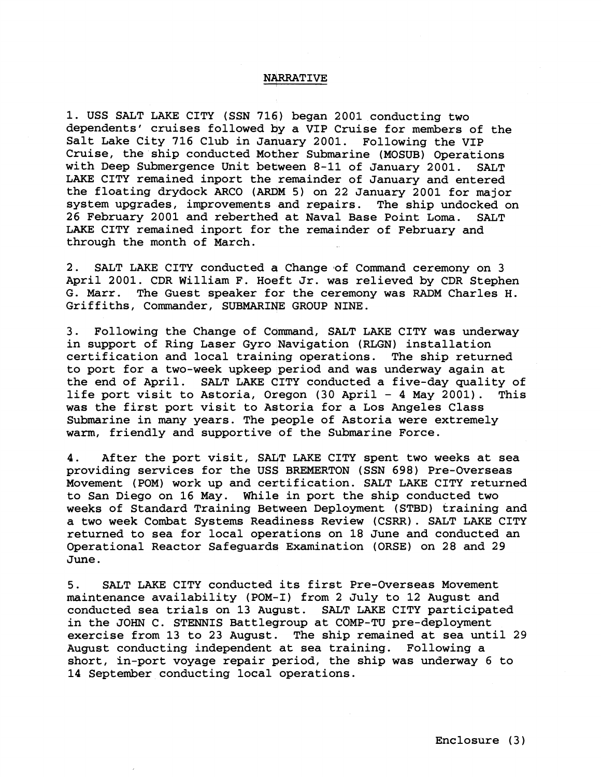## **NARRATIVE**

1. USS SALT LAKE CITY (SSN 716) began 2001 conducting two dependents' cruises followed by a VIP Cruise for members of the Salt Lake City 716 Club in January 2001. Following the VIP Cruise, the ship conducted Mother Submarine (MOSUB) Operations with Deep Submergence Unit between 8-11 of January 2001. SALT LAKE CITY remained inport the remainder of January and entered the floating drydock ARCO (ARDM 5) on 22 January 2001 for major system upgrades, improvements and repairs. The ship undocked on 26 February 2001 and reberthed at Naval Base Point Loma. SALT LAKE CITY remained inport for the remainder of February and through the month of March.

2. SALT LAKE CITY conducted **4** Change of Command ceremony on 3 April 2001. CDR William F. Hoeft Jr. was relieved by CDR Stephen G. Marr. The Guest speaker for the ceremony was RADM Charles H. Griffiths, Commander, SUBMARINE GROUP NINE.

3. Following the Change of Command, SALT LAKE CITY was underway in support of Ring Laser Gyro Navigation (RLGN) installation certification and local training operations. The ship returned to port for a two-week upkeep period and was underway again at the end of April. SALT LAKE CITY conducted a five-day quality of life port visit to Astoria, Oregon (30 April - 4 May 2001). This was the first port visit to Astoria for a Los Angeles Class Submarine in many years. The people of Astoria were extremely warm, friendly and supportive of the Submarine Force.

4. After the port visit, SALT LAKE CITY spent two weeks at sea providing services for the USS BREMERTON (SSN 698) Pre-Overseas Movement (POM) work up and certification. SALT LAKE CITY returned to San Diego on 16 May. While in port the ship conducted two weeks of Standard Training Between Deployment (STBD) training and a two week Combat Systems Readiness Review (CSRR). SALT LAKE CITY returned to sea for local operations on 18 June and conducted an Operational Reactor Safeguards Examination (ORSE) on 28 and 29 June.

5. SALT LAKE CITY conducted its first Pre-Overseas Movement maintenance availability (POM-I) from 2 July to 12 August and conducted sea trials on 13 Auqust. SALT LAKE CITY participated in the JOHN C. STENNIS Battleqroup at COMP-TU pre-deployment exercise from 13 to 23 August. The ship remained at sea until 29 August conducting independent at sea training. Following a short, in-port voyage repair period, the ship was underway  $6$  to 14 September conducting local operations.